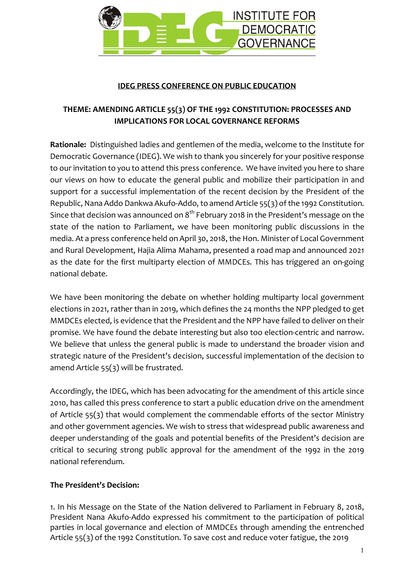

### **IDEG PRESS CONFERENCE ON PUBLIC EDUCATION**

# **THEME: AMENDING ARTICLE 55(3) OF THE 1992 CONSTITUTION: PROCESSES AND IMPLICATIONS FOR LOCAL GOVERNANCE REFORMS**

**Rationale:** Distinguished ladies and gentlemen of the media, welcome to the Institute for Democratic Governance (IDEG). We wish to thank you sincerely for your positive response to our invitation to you to attend this press conference. We have invited you here to share our views on how to educate the general public and mobilize their participation in and support for a successful implementation of the recent decision by the President of the Republic, Nana Addo Dankwa Akufo-Addo, to amend Article 55(3) of the 1992 Constitution. Since that decision was announced on  $8<sup>th</sup>$  February 2018 in the President's message on the state of the nation to Parliament, we have been monitoring public discussions in the media. At a press conference held on April 30, 2018, the Hon. Minister of Local Government and Rural Development, Hajia Alima Mahama, presented a road map and announced 2021 as the date for the first multiparty election of MMDCEs. This has triggered an on-going national debate.

We have been monitoring the debate on whether holding multiparty local government elections in 2021, rather than in 2019, which defines the 24 months the NPP pledged to get MMDCEs elected, is evidence that the President and the NPP have failed to deliver on their promise. We have found the debate interesting but also too election-centric and narrow. We believe that unless the general public is made to understand the broader vision and strategic nature of the President's decision, successful implementation of the decision to amend Article 55(3) will be frustrated.

Accordingly, the IDEG, which has been advocating for the amendment of this article since 2010, has called this press conference to start a public education drive on the amendment of Article 55(3) that would complement the commendable efforts of the sector Ministry and other government agencies. We wish to stress that widespread public awareness and deeper understanding of the goals and potential benefits of the President's decision are critical to securing strong public approval for the amendment of the 1992 in the 2019 national referendum.

#### **The President's Decision:**

1. In his Message on the State of the Nation delivered to Parliament in February 8, 2018, President Nana Akufo-Addo expressed his commitment to the participation of political parties in local governance and election of MMDCEs through amending the entrenched Article 55(3) of the 1992 Constitution. To save cost and reduce voter fatigue, the 2019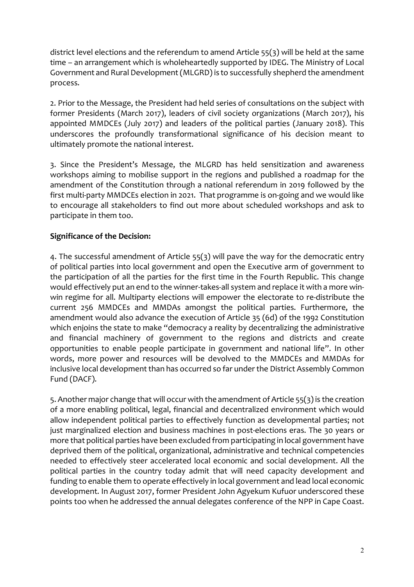district level elections and the referendum to amend Article 55(3) will be held at the same time – an arrangement which is wholeheartedly supported by IDEG. The Ministry of Local Government and Rural Development (MLGRD) is to successfully shepherd the amendment process.

2. Prior to the Message, the President had held series of consultations on the subject with former Presidents (March 2017), leaders of civil society organizations (March 2017), his appointed MMDCEs (July 2017) and leaders of the political parties (January 2018). This underscores the profoundly transformational significance of his decision meant to ultimately promote the national interest.

3. Since the President's Message, the MLGRD has held sensitization and awareness workshops aiming to mobilise support in the regions and published a roadmap for the amendment of the Constitution through a national referendum in 2019 followed by the first multi-party MMDCEs election in 2021. That programme is on-going and we would like to encourage all stakeholders to find out more about scheduled workshops and ask to participate in them too.

## **Significance of the Decision:**

4. The successful amendment of Article 55(3) will pave the way for the democratic entry of political parties into local government and open the Executive arm of government to the participation of all the parties for the first time in the Fourth Republic. This change would effectively put an end to the winner-takes-all system and replace it with a more winwin regime for all. Multiparty elections will empower the electorate to re-distribute the current 256 MMDCEs and MMDAs amongst the political parties. Furthermore, the amendment would also advance the execution of Article 35 (6d) of the 1992 Constitution which enjoins the state to make "democracy a reality by decentralizing the administrative and financial machinery of government to the regions and districts and create opportunities to enable people participate in government and national life". In other words, more power and resources will be devolved to the MMDCEs and MMDAs for inclusive local development than has occurred so far under the District Assembly Common Fund (DACF).

5. Another major change that will occur with the amendment of Article 55(3) is the creation of a more enabling political, legal, financial and decentralized environment which would allow independent political parties to effectively function as developmental parties; not just marginalized election and business machines in post-elections eras. The 30 years or more that political parties have been excluded from participating in local government have deprived them of the political, organizational, administrative and technical competencies needed to effectively steer accelerated local economic and social development. All the political parties in the country today admit that will need capacity development and funding to enable them to operate effectively in local government and lead local economic development. In August 2017, former President John Agyekum Kufuor underscored these points too when he addressed the annual delegates conference of the NPP in Cape Coast.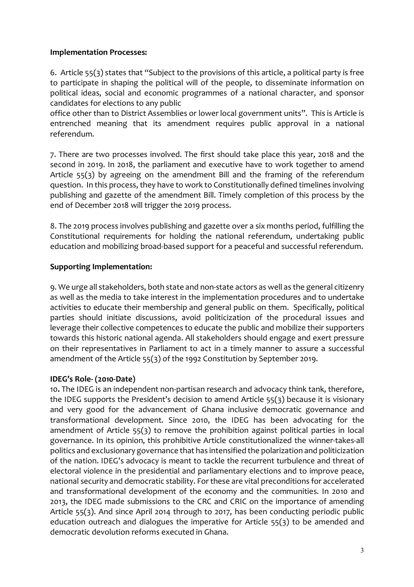#### **Implementation Processes:**

6. Article 55(3) states that "Subject to the provisions of this article, a political party is free to participate in shaping the political will of the people, to disseminate information on political ideas, social and economic programmes of a national character, and sponsor candidates for elections to any public

office other than to District Assemblies or lower local government units". This is Article is entrenched meaning that its amendment requires public approval in a national referendum.

7. There are two processes involved. The first should take place this year, 2018 and the second in 2019. In 2018, the parliament and executive have to work together to amend Article 55(3) by agreeing on the amendment Bill and the framing of the referendum question. In this process, they have to work to Constitutionally defined timelines involving publishing and gazette of the amendment Bill. Timely completion of this process by the end of December 2018 will trigger the 2019 process.

8. The 2019 process involves publishing and gazette over a six months period, fulfilling the Constitutional requirements for holding the national referendum, undertaking public education and mobilizing broad-based support for a peaceful and successful referendum.

#### **Supporting Implementation:**

9. We urge all stakeholders, both state and non-state actors as well as the general citizenry as well as the media to take interest in the implementation procedures and to undertake activities to educate their membership and general public on them. Specifically, political parties should initiate discussions, avoid politicization of the procedural issues and leverage their collective competences to educate the public and mobilize their supporters towards this historic national agenda. All stakeholders should engage and exert pressure on their representatives in Parliament to act in a timely manner to assure a successful amendment of the Article 55(3) of the 1992 Constitution by September 2019.

#### **IDEG's Role- (2010-Date)**

10**.** The IDEG is an independent non-partisan research and advocacy think tank, therefore, the IDEG supports the President's decision to amend Article 55(3) because it is visionary and very good for the advancement of Ghana inclusive democratic governance and transformational development. Since 2010, the IDEG has been advocating for the amendment of Article 55(3) to remove the prohibition against political parties in local governance. In its opinion, this prohibitive Article constitutionalized the winner-takes-all politics and exclusionary governance that has intensified the polarization and politicization of the nation. IDEG's advocacy is meant to tackle the recurrent turbulence and threat of electoral violence in the presidential and parliamentary elections and to improve peace, national security and democratic stability. For these are vital preconditions for accelerated and transformational development of the economy and the communities. In 2010 and 2013, the IDEG made submissions to the CRC and CRIC on the importance of amending Article 55(3). And since April 2014 through to 2017, has been conducting periodic public education outreach and dialogues the imperative for Article 55(3) to be amended and democratic devolution reforms executed in Ghana.